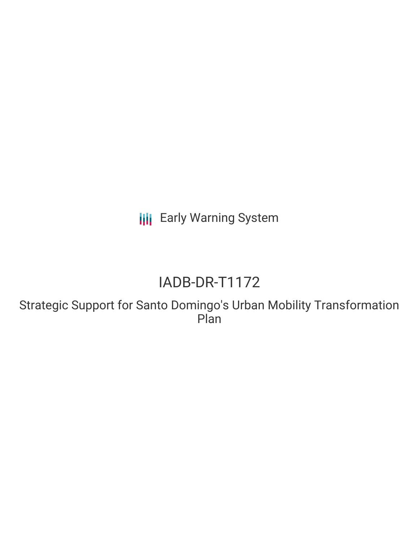**III** Early Warning System

# IADB-DR-T1172

Strategic Support for Santo Domingo's Urban Mobility Transformation Plan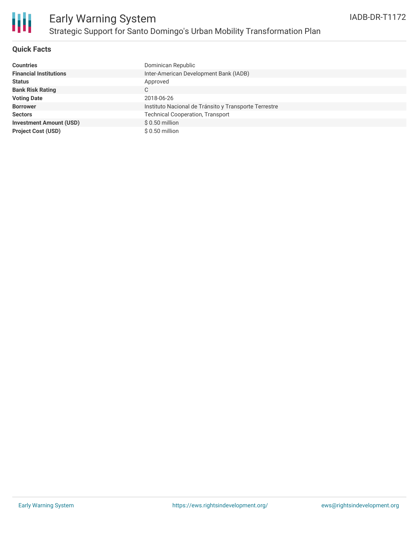

## **Quick Facts**

| Countries                      | Dominican Republic                                    |
|--------------------------------|-------------------------------------------------------|
| <b>Financial Institutions</b>  | Inter-American Development Bank (IADB)                |
| Status                         | Approved                                              |
| <b>Bank Risk Rating</b>        | С                                                     |
| <b>Voting Date</b>             | 2018-06-26                                            |
| <b>Borrower</b>                | Instituto Nacional de Tránsito y Transporte Terrestre |
| <b>Sectors</b>                 | <b>Technical Cooperation, Transport</b>               |
| <b>Investment Amount (USD)</b> | $$0.50$ million                                       |
| <b>Project Cost (USD)</b>      | $$0.50$ million                                       |
|                                |                                                       |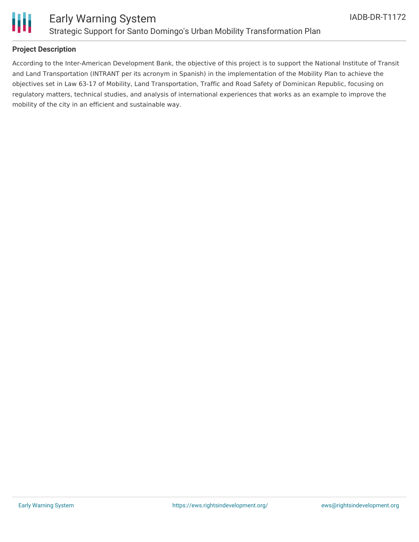

## **Project Description**

According to the Inter-American Development Bank, the objective of this project is to support the National Institute of Transit and Land Transportation (INTRANT per its acronym in Spanish) in the implementation of the Mobility Plan to achieve the objectives set in Law 63-17 of Mobility, Land Transportation, Traffic and Road Safety of Dominican Republic, focusing on regulatory matters, technical studies, and analysis of international experiences that works as an example to improve the mobility of the city in an efficient and sustainable way.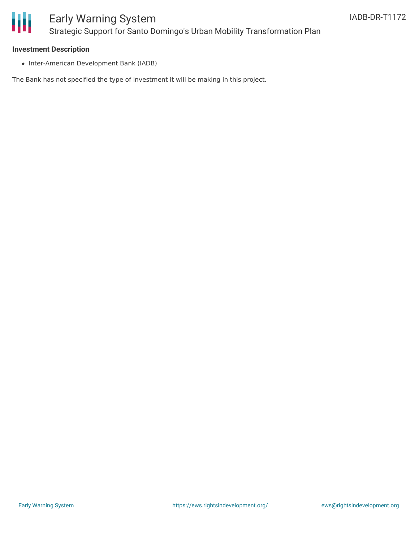

### **Investment Description**

• Inter-American Development Bank (IADB)

The Bank has not specified the type of investment it will be making in this project.